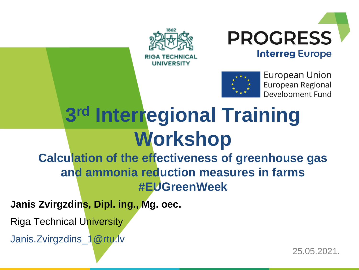





European Union European Regional Development Fund

# **3 rd Interregional Training Workshop**

**Calculation of the effectiveness of greenhouse gas and ammonia reduction measures in farms #EUGreenWeek**

**Janis Zvirgzdins, Dipl. ing., Mg. oec.** 

Riga Technical University

Janis.Zvirgzdins\_1@rtu.lv

25.05.2021.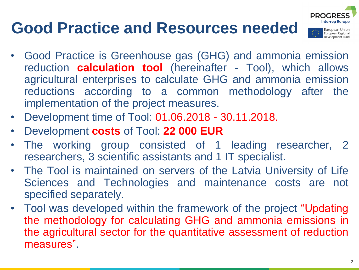### **Good Practice and Resources needed**



- Good Practice is Greenhouse gas (GHG) and ammonia emission reduction **calculation tool** (hereinafter - Tool), which allows agricultural enterprises to calculate GHG and ammonia emission reductions according to a common methodology after the implementation of the project measures.
- Development time of Tool: 01.06.2018 30.11.2018.
- Development **costs** of Tool: **22 000 EUR**
- The working group consisted of 1 leading researcher, 2 researchers, 3 scientific assistants and 1 IT specialist.
- The Tool is maintained on servers of the Latvia University of Life Sciences and Technologies and maintenance costs are not specified separately.
- Tool was developed within the framework of the project "Updating the methodology for calculating GHG and ammonia emissions in the agricultural sector for the quantitative assessment of reduction measures".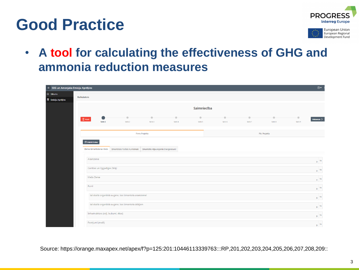#### **Good Practice**





• **A tool for calculating the effectiveness of GHG and ammonia reduction measures**

| $\equiv$ SEG un Amonjaka Emisiju Aprēķins |                                                      |                                                                         |                      |                                    |                      |                                 |                                                              |                      |                        | $_{\odot}$          |  |  |
|-------------------------------------------|------------------------------------------------------|-------------------------------------------------------------------------|----------------------|------------------------------------|----------------------|---------------------------------|--------------------------------------------------------------|----------------------|------------------------|---------------------|--|--|
| <b>命 Sākums</b>                           |                                                      |                                                                         |                      |                                    |                      |                                 |                                                              |                      |                        |                     |  |  |
| <b>E</b> Emisiju Aprēķins                 | <b>Kalkulators</b>                                   |                                                                         |                      |                                    |                      |                                 |                                                              |                      |                        |                     |  |  |
|                                           | Saimniecība                                          |                                                                         |                      |                                    |                      |                                 |                                                              |                      |                        |                     |  |  |
|                                           | <b>m</b><br>Atcelt<br>Solis <sub>1</sub>             | $\rightarrow$<br>Solis 2                                                | $\bullet$<br>Solis 3 | $\qquad \qquad \bullet$<br>Solis 4 | $\bullet$<br>Solis 5 | $\bullet$<br>Solis <sub>6</sub> | $\begin{array}{c} \bullet \\ \bullet \end{array}$<br>Solis 7 | $\bullet$<br>Solis 8 | $\hbox{--}$<br>Solis 9 | Nākamais >          |  |  |
|                                           |                                                      | Pirms Projekta                                                          | Pēc Projekta         |                                    |                      |                                 |                                                              |                      |                        |                     |  |  |
|                                           | <b>Dublet Datus</b><br>Zemes Izmantošanas Veids      | Izmantotais Fosilais Kurināmais   Izmantotie Atjaunojamie Energoresursi |                      |                                    |                      |                                 |                                                              |                      |                        |                     |  |  |
|                                           | Aramzeme                                             |                                                                         |                      |                                    |                      |                                 |                                                              |                      |                        | 0 <sup>h</sup>      |  |  |
|                                           | Ganības un Ilggadīgie Zālāji                         |                                                                         |                      |                                    |                      |                                 |                                                              |                      |                        | 0 <sup>h</sup>      |  |  |
|                                           | Meža Zeme                                            |                                                                         |                      |                                    |                      |                                 |                                                              |                      |                        | 0 <sup>h</sup>      |  |  |
|                                           | Purvi                                                |                                                                         |                      |                                    |                      |                                 |                                                              |                      |                        | T<br>0 <sup>h</sup> |  |  |
|                                           | tai skaitā organiskā augsne, kas izmantota aramzemei |                                                                         |                      |                                    |                      | 0 <sup>h</sup>                  |                                                              |                      |                        |                     |  |  |
|                                           |                                                      | tai skaitā organiskā augsne, kas izmantota zālājam                      |                      |                                    |                      |                                 |                                                              |                      |                        | 0 <sup>h</sup>      |  |  |
|                                           | Infrastruktūra (ceļi, laukumi, ēkas)                 |                                                                         |                      |                                    |                      |                                 |                                                              |                      |                        | 0 <sup>h</sup>      |  |  |
|                                           | Postījumi (meži)                                     |                                                                         |                      |                                    |                      |                                 |                                                              |                      |                        | 0 <sup>h</sup>      |  |  |

Source: https://orange.maxapex.net/apex/f?p=125:201:10446113339763:::RP,201,202,203,204,205,206,207,208,209::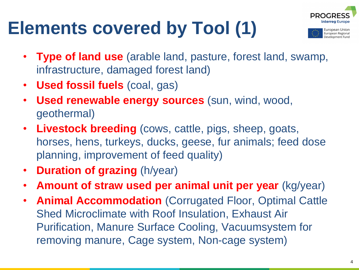# **Elements covered by Tool (1)**





- **Type of land use** (arable land, pasture, forest land, swamp, infrastructure, damaged forest land)
- **Used fossil fuels** (coal, gas)
- **Used renewable energy sources** (sun, wind, wood, geothermal)
- **Livestock breeding** (cows, cattle, pigs, sheep, goats, horses, hens, turkeys, ducks, geese, fur animals; feed dose planning, improvement of feed quality)
- **Duration of grazing** (h/year)
- **Amount of straw used per animal unit per year** (kg/year)
- **Animal Accommodation** (Corrugated Floor, Optimal Cattle Shed Microclimate with Roof Insulation, Exhaust Air Purification, Manure Surface Cooling, Vacuumsystem for removing manure, Cage system, Non-cage system)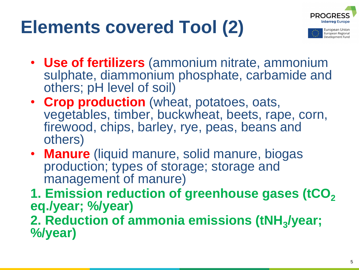# **Elements covered Tool (2)**



uropean Union European Regional Development Fund

- **Use of fertilizers** (ammonium nitrate, ammonium sulphate, diammonium phosphate, carbamide and others; pH level of soil)
- **Crop production** (wheat, potatoes, oats, vegetables, timber, buckwheat, beets, rape, corn, firewood, chips, barley, rye, peas, beans and others)
- **Manure** (liquid manure, solid manure, biogas production; types of storage; storage and management of manure)
- **1. Emission reduction of greenhouse gases (tCO<sup>2</sup> eq./year; %/year)**

**2. Reduction of ammonia emissions (tNH<sup>3</sup> /year; %/year)**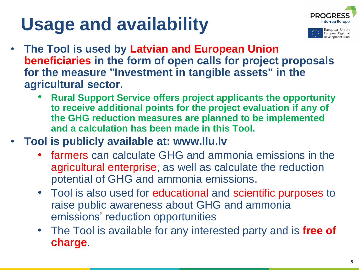# **Usage and availability**





- **The Tool is used by Latvian and European Union beneficiaries in the form of open calls for project proposals for the measure "Investment in tangible assets" in the agricultural sector.**
	- **Rural Support Service offers project applicants the opportunity to receive additional points for the project evaluation if any of the GHG reduction measures are planned to be implemented and a calculation has been made in this Tool.**
- **Tool is publicly available at: www.llu.lv** 
	- farmers can calculate GHG and ammonia emissions in the agricultural enterprise, as well as calculate the reduction potential of GHG and ammonia emissions.
	- Tool is also used for educational and scientific purposes to raise public awareness about GHG and ammonia emissions' reduction opportunities
	- The Tool is available for any interested party and is **free of charge**.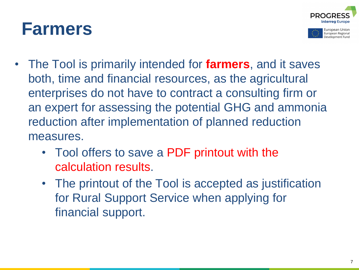#### **Farmers**





- The Tool is primarily intended for **farmers**, and it saves both, time and financial resources, as the agricultural enterprises do not have to contract a consulting firm or an expert for assessing the potential GHG and ammonia reduction after implementation of planned reduction measures.
	- Tool offers to save a PDF printout with the calculation results.
	- The printout of the Tool is accepted as justification for Rural Support Service when applying for financial support.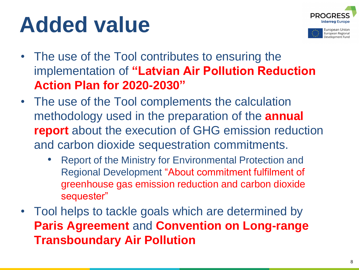# **Added value**





- The use of the Tool contributes to ensuring the implementation of **"Latvian Air Pollution Reduction Action Plan for 2020-2030"**
- The use of the Tool complements the calculation methodology used in the preparation of the **annual report** about the execution of GHG emission reduction and carbon dioxide sequestration commitments.
	- Report of the Ministry for Environmental Protection and Regional Development "About commitment fulfilment of greenhouse gas emission reduction and carbon dioxide sequester"
- Tool helps to tackle goals which are determined by **Paris Agreement** and **Convention on Long-range Transboundary Air Pollution**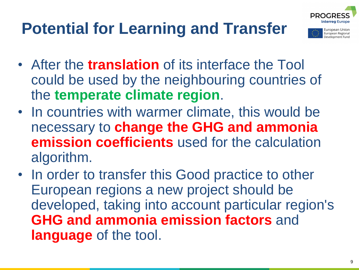



uropean Unior European Regional evelopment Fund

- After the **translation** of its interface the Tool could be used by the neighbouring countries of the **temperate climate region**.
- In countries with warmer climate, this would be necessary to **change the GHG and ammonia emission coefficients** used for the calculation algorithm.
- In order to transfer this Good practice to other European regions a new project should be developed, taking into account particular region's **GHG and ammonia emission factors** and **language** of the tool.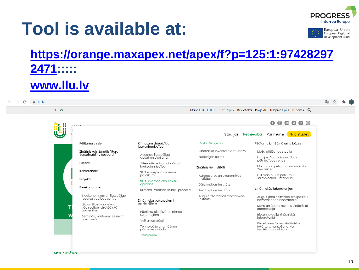### **Tool is available at:**





#### **[https://orange.maxapex.net/apex/f?p=125:1:97428297](https://orange.maxapex.net/apex/f?p=125:1:974282972471) 2471::::: [www.llu.lv](http://www.llu.lv/)**

| $\rightarrow$<br>C.<br>iii Ilu.lv |       |                                                              |                                                  |                                             |                                                                                                                                                                                                         | 图 汉 异 (3) |
|-----------------------------------|-------|--------------------------------------------------------------|--------------------------------------------------|---------------------------------------------|---------------------------------------------------------------------------------------------------------------------------------------------------------------------------------------------------------|-----------|
|                                   | EN LV |                                                              |                                                  |                                             | Mans LLU LLU IS E-studijas Bibliotēka Projekti Jelgavas pils E-pasts Q                                                                                                                                  |           |
|                                   |       | Intu                                                         |                                                  |                                             | $\begin{array}{c} \bullet\hspace{-0.08cm}\bullet\hspace{-0.08cm}\bullet\hspace{-0.08cm}\bullet\hspace{-0.08cm}\bullet\hspace{-0.08cm}\bullet\hspace{-0.08cm}\bullet\hspace{-0.08cm}\bullet \end{array}$ |           |
|                                   |       |                                                              |                                                  | Studijas                                    | Par mums Nac studet<br>Pētniecība                                                                                                                                                                       |           |
|                                   |       | Pētījumu virzieni                                            | Klimatam draudzīga<br>lauksaimniecība            | Sadarbības jomas                            | Pētījumu izmēģinājumu bāzes                                                                                                                                                                             |           |
|                                   |       | Zinātniskais žurnāls "Rural<br>Sustainability Research"      | Augsnes ilgtspējīga<br>apsaimniekošana           | Zinātniskā inventāra datu bāze              | Meža pētīšanas stacija                                                                                                                                                                                  |           |
|                                   |       |                                                              |                                                  | Noderīgas saites                            | Latvijas Augu aizsardzības<br>pētniecības centrs                                                                                                                                                        |           |
|                                   |       | Patenti                                                      | Alternatīvas tradicionālajai<br>lauksaimniecībai | Zinātniskie institūti                       | Mācību un pētījumu saimniecība<br>"Vecauce"                                                                                                                                                             |           |
|                                   |       | Konferences                                                  | SEG emisijas samazinoši<br>pasākumi              | Agroresursu un ekonomikas                   | LLU mācību un pētījumu<br>saimniecība "Pēterlauki"                                                                                                                                                      |           |
|                                   |       | Projekti                                                     | SEG un amonjaka emisiju                          | institūts                                   |                                                                                                                                                                                                         |           |
|                                   |       | Bioekonomika                                                 | aprēķins                                         | Dārzkopības institūts                       |                                                                                                                                                                                                         |           |
|                                   |       |                                                              | Klimata izmainas studiju procesā                 | Zemkopības institūts                        | Zinātniskās laboratorijas                                                                                                                                                                               |           |
|                                   |       | Bioekonomikas un ilgtspējīgo<br>resursu vadības centrs       | Zinātnieku pakalpojumi                           | Augu aizsardzības zinātniskais<br>institūts | Augu šķirņu saimniecisko īpašību<br>novērtēšanas laboratorija                                                                                                                                           |           |
|                                   |       | LLU un Bioekonomikas<br>pētniecības stratēģiskā<br>apvienība | uzņēmējiem                                       |                                             | Meža un ūdens resursu zinātniskā<br>laboratorija                                                                                                                                                        |           |
|                                   |       | Semināri, konferences un citi                                | Pētnieku piedāvātas tēmas<br>uzņēmējiem          |                                             | Biotehnoloģiju zinātniskā<br>laboratorija                                                                                                                                                               |           |
|                                   |       | pasākumi                                                     | Veiksmes stāsti                                  |                                             | Pieteikumu forma zinātnisko<br>jekārtu izmantošanai vai<br>testēšanas veikšanai                                                                                                                         |           |
|                                   |       |                                                              | Tehnoloģiju un zināšanu<br>pārneses nodala       |                                             |                                                                                                                                                                                                         |           |
|                                   |       |                                                              | Pakalpoiumi                                      |                                             |                                                                                                                                                                                                         |           |

**AKTUALITAIES**